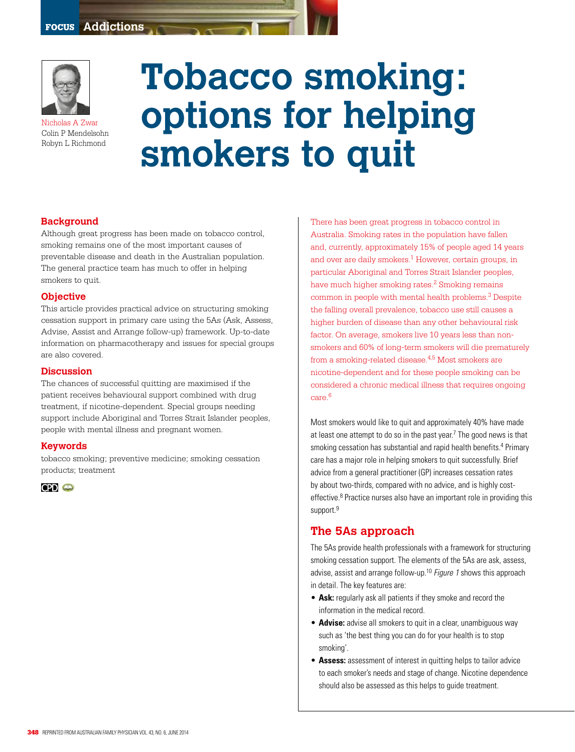

Nicholas A Zwar Colin P Mendelsohn Robyn L Richmond

# **Tobacco smoking: options for helping smokers to quit**

#### **Background**

Although great progress has been made on tobacco control, smoking remains one of the most important causes of preventable disease and death in the Australian population. The general practice team has much to offer in helping smokers to quit.

#### **Objective**

This article provides practical advice on structuring smoking cessation support in primary care using the 5As (Ask, Assess, Advise, Assist and Arrange follow-up) framework. Up-to-date information on pharmacotherapy and issues for special groups are also covered.

#### **Discussion**

The chances of successful quitting are maximised if the patient receives behavioural support combined with drug treatment, if nicotine-dependent. Special groups needing support include Aboriginal and Torres Strait Islander peoples, people with mental illness and pregnant women.

#### **Keywords**

tobacco smoking; preventive medicine; smoking cessation products; treatment

 $CP<sub>o</sub>$ 

There has been great progress in tobacco control in Australia. Smoking rates in the population have fallen and, currently, approximately 15% of people aged 14 years and over are daily smokers.<sup>1</sup> However, certain groups, in particular Aboriginal and Torres Strait Islander peoples, have much higher smoking rates.<sup>2</sup> Smoking remains common in people with mental health problems.3 Despite the falling overall prevalence, tobacco use still causes a higher burden of disease than any other behavioural risk factor. On average, smokers live 10 years less than nonsmokers and 60% of long-term smokers will die prematurely from a smoking-related disease.<sup>4,5</sup> Most smokers are nicotine-dependent and for these people smoking can be considered a chronic medical illness that requires ongoing care.6

Most smokers would like to quit and approximately 40% have made at least one attempt to do so in the past year.<sup>7</sup> The good news is that smoking cessation has substantial and rapid health benefits.<sup>4</sup> Primary care has a major role in helping smokers to quit successfully. Brief advice from a general practitioner (GP) increases cessation rates by about two-thirds, compared with no advice, and is highly costeffective.<sup>8</sup> Practice nurses also have an important role in providing this support.<sup>9</sup>

## **The 5As approach**

The 5As provide health professionals with a framework for structuring smoking cessation support. The elements of the 5As are ask, assess, advise, assist and arrange follow-up.<sup>10</sup> Figure 1 shows this approach in detail. The key features are:

- **Ask:** regularly ask all patients if they smoke and record the information in the medical record.
- **Advise:** advise all smokers to quit in a clear, unambiguous way such as 'the best thing you can do for your health is to stop smoking'.
- **Assess:** assessment of interest in quitting helps to tailor advice to each smoker's needs and stage of change. Nicotine dependence should also be assessed as this helps to guide treatment.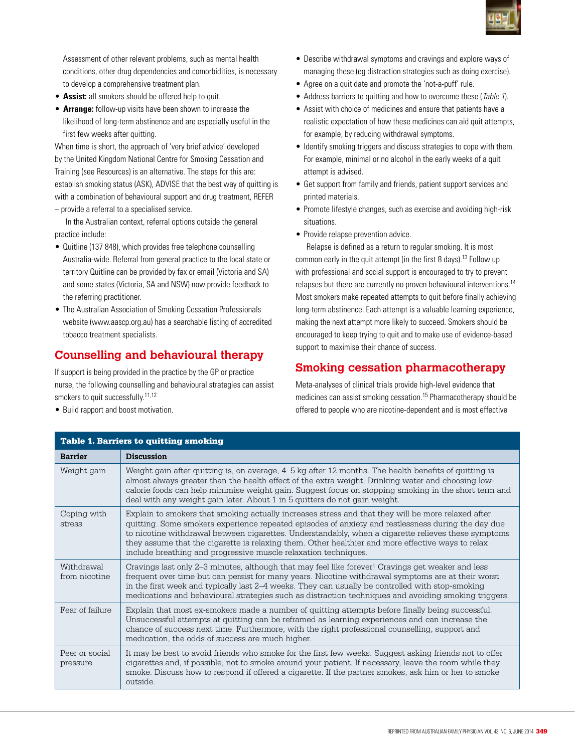

Assessment of other relevant problems, such as mental health conditions, other drug dependencies and comorbidities, is necessary to develop a comprehensive treatment plan.

- **Assist:** all smokers should be offered help to quit.
- **Arrange:** follow-up visits have been shown to increase the likelihood of long-term abstinence and are especially useful in the first few weeks after quitting.

When time is short, the approach of 'very brief advice' developed by the United Kingdom National Centre for Smoking Cessation and Training (see Resources) is an alternative. The steps for this are: establish smoking status (ASK), ADVISE that the best way of quitting is with a combination of behavioural support and drug treatment, REFER – provide a referral to a specialised service.

In the Australian context, referral options outside the general practice include:

- Quitline (137 848), which provides free telephone counselling Australia-wide. Referral from general practice to the local state or territory Quitline can be provided by fax or email (Victoria and SA) and some states (Victoria, SA and NSW) now provide feedback to the referring practitioner.
- The Australian Association of Smoking Cessation Professionals website (www.aascp.org.au) has a searchable listing of accredited tobacco treatment specialists.

# **Counselling and behavioural therapy**

If support is being provided in the practice by the GP or practice nurse, the following counselling and behavioural strategies can assist smokers to quit successfully.<sup>11,12</sup>

• Build rapport and boost motivation.

Table 1. Barriers to quitting smoking

#### • Describe withdrawal symptoms and cravings and explore ways of managing these (eg distraction strategies such as doing exercise).

- Agree on a quit date and promote the 'not-a-puff' rule.
- Address barriers to quitting and how to overcome these (Table 1).
- Assist with choice of medicines and ensure that patients have a realistic expectation of how these medicines can aid quit attempts, for example, by reducing withdrawal symptoms.
- Identify smoking triggers and discuss strategies to cope with them. For example, minimal or no alcohol in the early weeks of a quit attempt is advised.
- Get support from family and friends, patient support services and printed materials.
- Promote lifestyle changes, such as exercise and avoiding high-risk situations.
- Provide relapse prevention advice.

Relapse is defined as a return to regular smoking. It is most common early in the quit attempt (in the first 8 days).13 Follow up with professional and social support is encouraged to try to prevent relapses but there are currently no proven behavioural interventions.<sup>14</sup> Most smokers make repeated attempts to quit before finally achieving long-term abstinence. Each attempt is a valuable learning experience, making the next attempt more likely to succeed. Smokers should be encouraged to keep trying to quit and to make use of evidence-based support to maximise their chance of success.

# **Smoking cessation pharmacotherapy**

Meta-analyses of clinical trials provide high-level evidence that medicines can assist smoking cessation.15 Pharmacotherapy should be offered to people who are nicotine-dependent and is most effective

| <b>Barrier</b>              | <b>Discussion</b>                                                                                                                                                                                                                                                                                                                                                                                                                                                                       |  |
|-----------------------------|-----------------------------------------------------------------------------------------------------------------------------------------------------------------------------------------------------------------------------------------------------------------------------------------------------------------------------------------------------------------------------------------------------------------------------------------------------------------------------------------|--|
| Weight gain                 | Weight gain after quitting is, on average, 4–5 kg after 12 months. The health benefits of quitting is<br>almost always greater than the health effect of the extra weight. Drinking water and choosing low-<br>calorie foods can help minimise weight gain. Suggest focus on stopping smoking in the short term and<br>deal with any weight gain later. About 1 in 5 quitters do not gain weight.                                                                                       |  |
| Coping with<br>stress       | Explain to smokers that smoking actually increases stress and that they will be more relaxed after<br>quitting. Some smokers experience repeated episodes of anxiety and restlessness during the day due<br>to nicotine withdrawal between cigarettes. Understandably, when a cigarette relieves these symptoms<br>they assume that the cigarette is relaxing them. Other healthier and more effective ways to relax<br>include breathing and progressive muscle relaxation techniques. |  |
| Withdrawal<br>from nicotine | Cravings last only 2–3 minutes, although that may feel like forever! Cravings get weaker and less<br>frequent over time but can persist for many years. Nicotine withdrawal symptoms are at their worst<br>in the first week and typically last 2–4 weeks. They can usually be controlled with stop-smoking<br>medications and behavioural strategies such as distraction techniques and avoiding smoking triggers.                                                                     |  |
| Fear of failure             | Explain that most ex-smokers made a number of quitting attempts before finally being successful.<br>Unsuccessful attempts at quitting can be reframed as learning experiences and can increase the<br>chance of success next time. Furthermore, with the right professional counselling, support and<br>medication, the odds of success are much higher.                                                                                                                                |  |
| Peer or social<br>pressure  | It may be best to avoid friends who smoke for the first few weeks. Suggest asking friends not to offer<br>cigarettes and, if possible, not to smoke around your patient. If necessary, leave the room while they<br>smoke. Discuss how to respond if offered a cigarette. If the partner smokes, ask him or her to smoke<br>outside.                                                                                                                                                    |  |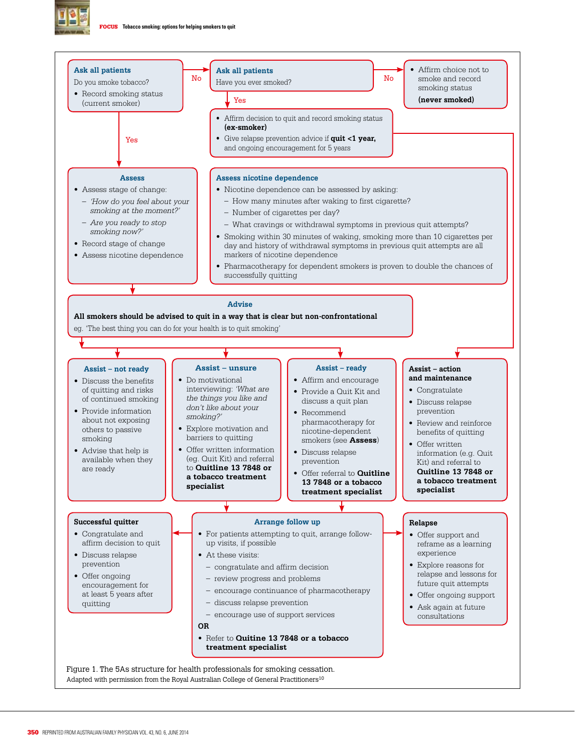

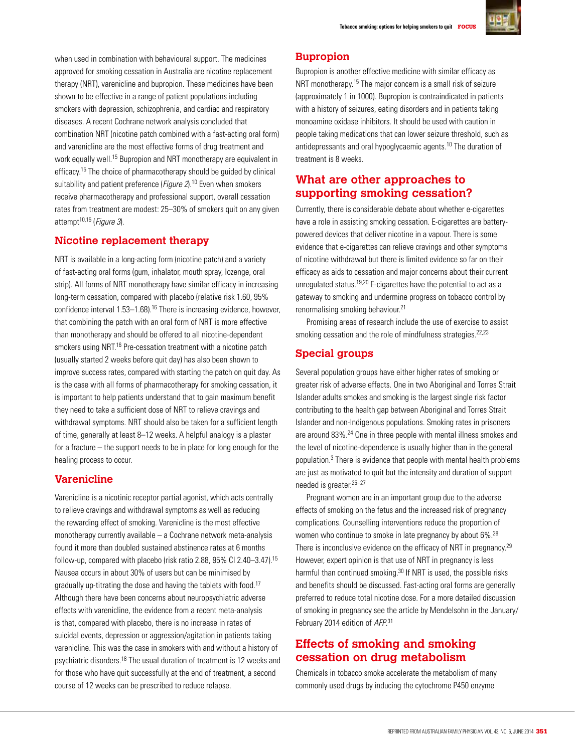

when used in combination with behavioural support. The medicines approved for smoking cessation in Australia are nicotine replacement therapy (NRT), varenicline and bupropion. These medicines have been shown to be effective in a range of patient populations including smokers with depression, schizophrenia, and cardiac and respiratory diseases. A recent Cochrane network analysis concluded that combination NRT (nicotine patch combined with a fast-acting oral form) and varenicline are the most effective forms of drug treatment and work equally well.15 Bupropion and NRT monotherapy are equivalent in efficacy.15 The choice of pharmacotherapy should be guided by clinical suitability and patient preference (*Figure 2*).<sup>10</sup> Even when smokers receive pharmacotherapy and professional support, overall cessation rates from treatment are modest: 25–30% of smokers quit on any given attempt<sup>10,15</sup> (Figure 3).

# **Nicotine replacement therapy**

NRT is available in a long-acting form (nicotine patch) and a variety of fast-acting oral forms (gum, inhalator, mouth spray, lozenge, oral strip). All forms of NRT monotherapy have similar efficacy in increasing long-term cessation, compared with placebo (relative risk 1.60, 95% confidence interval 1.53–1.68).16 There is increasing evidence, however, that combining the patch with an oral form of NRT is more effective than monotherapy and should be offered to all nicotine-dependent smokers using NRT.<sup>16</sup> Pre-cessation treatment with a nicotine patch (usually started 2 weeks before quit day) has also been shown to improve success rates, compared with starting the patch on quit day. As is the case with all forms of pharmacotherapy for smoking cessation, it is important to help patients understand that to gain maximum benefit they need to take a sufficient dose of NRT to relieve cravings and withdrawal symptoms. NRT should also be taken for a sufficient length of time, generally at least 8–12 weeks. A helpful analogy is a plaster for a fracture – the support needs to be in place for long enough for the healing process to occur.

## **Varenicline**

Varenicline is a nicotinic receptor partial agonist, which acts centrally to relieve cravings and withdrawal symptoms as well as reducing the rewarding effect of smoking. Varenicline is the most effective monotherapy currently available – a Cochrane network meta-analysis found it more than doubled sustained abstinence rates at 6 months follow-up, compared with placebo (risk ratio 2.88, 95% CI 2.40–3.47).15 Nausea occurs in about 30% of users but can be minimised by gradually up-titrating the dose and having the tablets with food.17 Although there have been concerns about neuropsychiatric adverse effects with varenicline, the evidence from a recent meta-analysis is that, compared with placebo, there is no increase in rates of suicidal events, depression or aggression/agitation in patients taking varenicline. This was the case in smokers with and without a history of psychiatric disorders.18 The usual duration of treatment is 12 weeks and for those who have quit successfully at the end of treatment, a second course of 12 weeks can be prescribed to reduce relapse.

## **Bupropion**

Bupropion is another effective medicine with similar efficacy as NRT monotherapy.15 The major concern is a small risk of seizure (approximately 1 in 1000). Bupropion is contraindicated in patients with a history of seizures, eating disorders and in patients taking monoamine oxidase inhibitors. It should be used with caution in people taking medications that can lower seizure threshold, such as antidepressants and oral hypoglycaemic agents.10 The duration of treatment is 8 weeks.

# **What are other approaches to supporting smoking cessation?**

Currently, there is considerable debate about whether e-cigarettes have a role in assisting smoking cessation. E-cigarettes are batterypowered devices that deliver nicotine in a vapour. There is some evidence that e-cigarettes can relieve cravings and other symptoms of nicotine withdrawal but there is limited evidence so far on their efficacy as aids to cessation and major concerns about their current unregulated status.19,20 E-cigarettes have the potential to act as a gateway to smoking and undermine progress on tobacco control by renormalising smoking behaviour.21

Promising areas of research include the use of exercise to assist smoking cessation and the role of mindfulness strategies.<sup>22,23</sup>

## **Special groups**

Several population groups have either higher rates of smoking or greater risk of adverse effects. One in two Aboriginal and Torres Strait Islander adults smokes and smoking is the largest single risk factor contributing to the health gap between Aboriginal and Torres Strait Islander and non-Indigenous populations. Smoking rates in prisoners are around 83%.24 One in three people with mental illness smokes and the level of nicotine-dependence is usually higher than in the general population.3 There is evidence that people with mental health problems are just as motivated to quit but the intensity and duration of support needed is greater.25–27

Pregnant women are in an important group due to the adverse effects of smoking on the fetus and the increased risk of pregnancy complications. Counselling interventions reduce the proportion of women who continue to smoke in late pregnancy by about 6%.28 There is inconclusive evidence on the efficacy of NRT in pregnancy.<sup>29</sup> However, expert opinion is that use of NRT in pregnancy is less harmful than continued smoking.<sup>30</sup> If NRT is used, the possible risks and benefits should be discussed. Fast-acting oral forms are generally preferred to reduce total nicotine dose. For a more detailed discussion of smoking in pregnancy see the article by Mendelsohn in the January/ February 2014 edition of AFP.<sup>31</sup>

# **Effects of smoking and smoking cessation on drug metabolism**

Chemicals in tobacco smoke accelerate the metabolism of many commonly used drugs by inducing the cytochrome P450 enzyme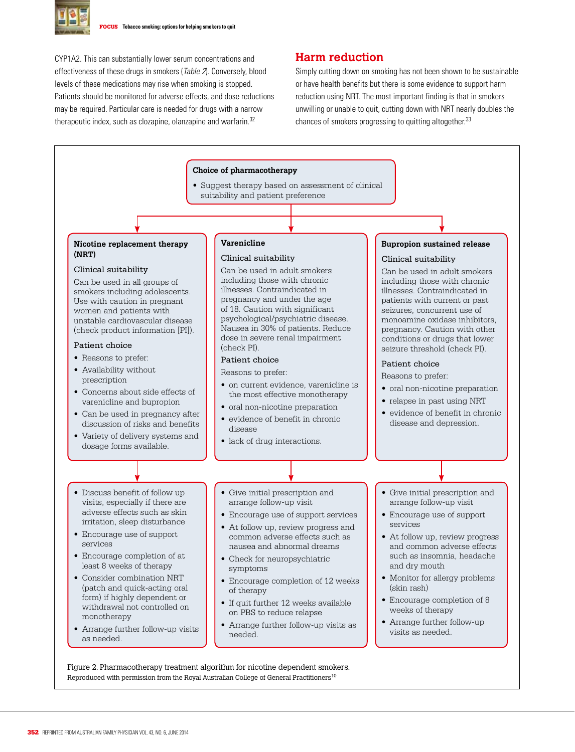

CYP1A2. This can substantially lower serum concentrations and effectiveness of these drugs in smokers (Table 2). Conversely, blood levels of these medications may rise when smoking is stopped. Patients should be monitored for adverse effects, and dose reductions may be required. Particular care is needed for drugs with a narrow therapeutic index, such as clozapine, olanzapine and warfarin.<sup>32</sup>

#### **Harm reduction**

Simply cutting down on smoking has not been shown to be sustainable or have health benefits but there is some evidence to support harm reduction using NRT. The most important finding is that in smokers unwilling or unable to quit, cutting down with NRT nearly doubles the chances of smokers progressing to quitting altogether.<sup>33</sup>



Reproduced with permission from the Royal Australian College of General Practitioners<sup>10</sup>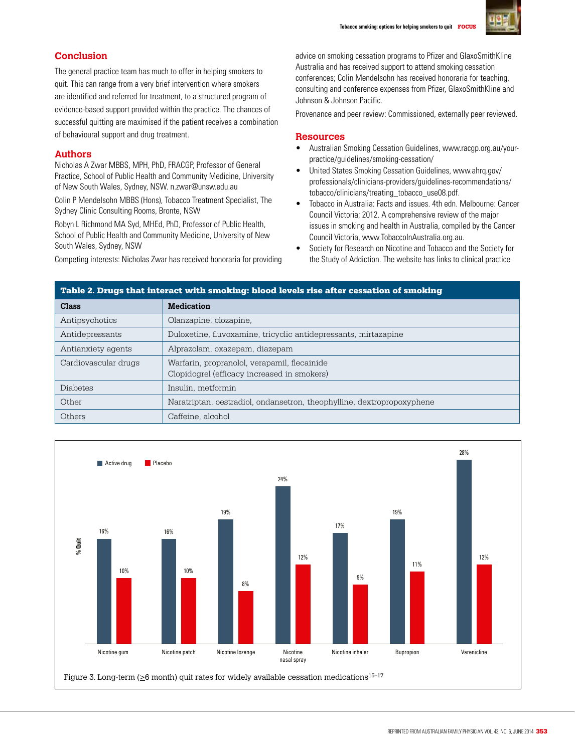

# **Conclusion**

The general practice team has much to offer in helping smokers to quit. This can range from a very brief intervention where smokers are identified and referred for treatment, to a structured program of evidence-based support provided within the practice. The chances of successful quitting are maximised if the patient receives a combination of behavioural support and drug treatment.

#### **Authors**

Nicholas A Zwar MBBS, MPH, PhD, FRACGP, Professor of General Practice, School of Public Health and Community Medicine, University of New South Wales, Sydney, NSW. n.zwar@unsw.edu.au

Colin P Mendelsohn MBBS (Hons), Tobacco Treatment Specialist, The Sydney Clinic Consulting Rooms, Bronte, NSW

Robyn L Richmond MA Syd, MHEd, PhD, Professor of Public Health, School of Public Health and Community Medicine, University of New South Wales, Sydney, NSW

Competing interests: Nicholas Zwar has received honoraria for providing

advice on smoking cessation programs to Pfizer and GlaxoSmithKline Australia and has received support to attend smoking cessation conferences; Colin Mendelsohn has received honoraria for teaching, consulting and conference expenses from Pfizer, GlaxoSmithKline and Johnson & Johnson Pacific.

Provenance and peer review: Commissioned, externally peer reviewed.

#### **Resources**

- Australian Smoking Cessation Guidelines, www.racgp.org.au/yourpractice/guidelines/smoking-cessation/
- United States Smoking Cessation Guidelines, www.ahrq.gov/ professionals/clinicians-providers/guidelines-recommendations/ tobacco/clinicians/treating\_tobacco\_use08.pdf.
- Tobacco in Australia: Facts and issues. 4th edn. Melbourne: Cancer Council Victoria; 2012. A comprehensive review of the major issues in smoking and health in Australia, compiled by the Cancer Council Victoria, www.TobaccoInAustralia.org.au.
- Society for Research on Nicotine and Tobacco and the Society for the Study of Addiction. The website has links to clinical practice

| Table 2. Drugs that interact with smoking: blood levels rise after cessation of smoking |                                                                                             |  |
|-----------------------------------------------------------------------------------------|---------------------------------------------------------------------------------------------|--|
| <b>Class</b>                                                                            | <b>Medication</b>                                                                           |  |
| Antipsychotics                                                                          | Olanzapine, clozapine,                                                                      |  |
| Antidepressants                                                                         | Duloxetine, fluvoxamine, tricyclic antidepressants, mirtazapine                             |  |
| Antianxiety agents                                                                      | Alprazolam, oxazepam, diazepam                                                              |  |
| Cardiovascular drugs                                                                    | Warfarin, propranolol, verapamil, flecainide<br>Clopidogrel (efficacy increased in smokers) |  |
| <b>Diabetes</b>                                                                         | Insulin, metformin                                                                          |  |
| Other                                                                                   | Naratriptan, oestradiol, ondansetron, theophylline, dextropropoxyphene                      |  |
| Others                                                                                  | Caffeine, alcohol                                                                           |  |